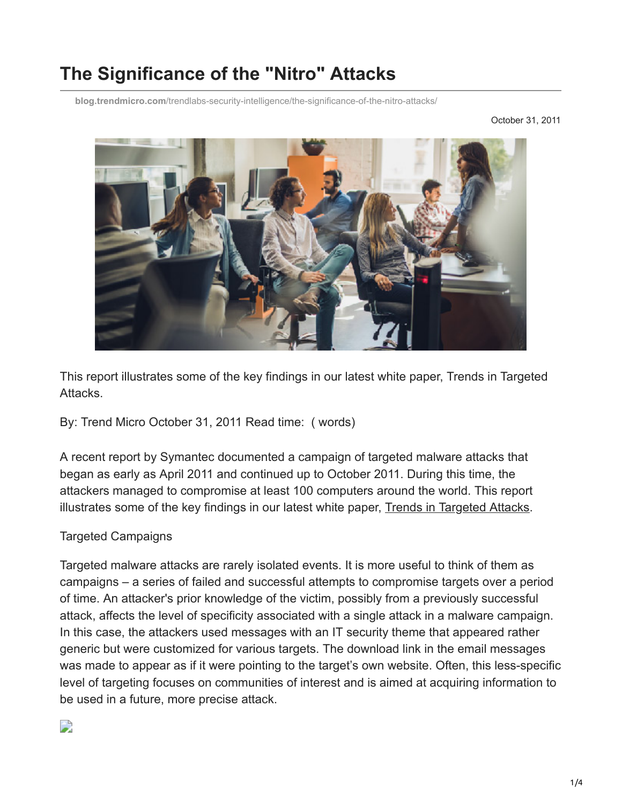# **The Significance of the "Nitro" Attacks**

**blog.trendmicro.com**[/trendlabs-security-intelligence/the-significance-of-the-nitro-attacks/](https://blog.trendmicro.com/trendlabs-security-intelligence/the-significance-of-the-nitro-attacks/)

October 31, 2011



This report illustrates some of the key findings in our latest white paper, Trends in Targeted Attacks.

By: Trend Micro October 31, 2011 Read time: ( words)

A recent report by Symantec documented a campaign of targeted malware attacks that began as early as April 2011 and continued up to October 2011. During this time, the attackers managed to compromise at least 100 computers around the world. This report illustrates some of the key findings in our latest white paper, [Trends in Targeted Attacks](http://www.trendmicro.com/cloud-content/us/pdfs/security-intelligence/white-papers/wp_trends-in-targeted-attacks.pdf).

### Targeted Campaigns

Targeted malware attacks are rarely isolated events. It is more useful to think of them as campaigns – a series of failed and successful attempts to compromise targets over a period of time. An attacker's prior knowledge of the victim, possibly from a previously successful attack, affects the level of specificity associated with a single attack in a malware campaign. In this case, the attackers used messages with an IT security theme that appeared rather generic but were customized for various targets. The download link in the email messages was made to appear as if it were pointing to the target's own website. Often, this less-specific level of targeting focuses on communities of interest and is aimed at acquiring information to be used in a future, more precise attack.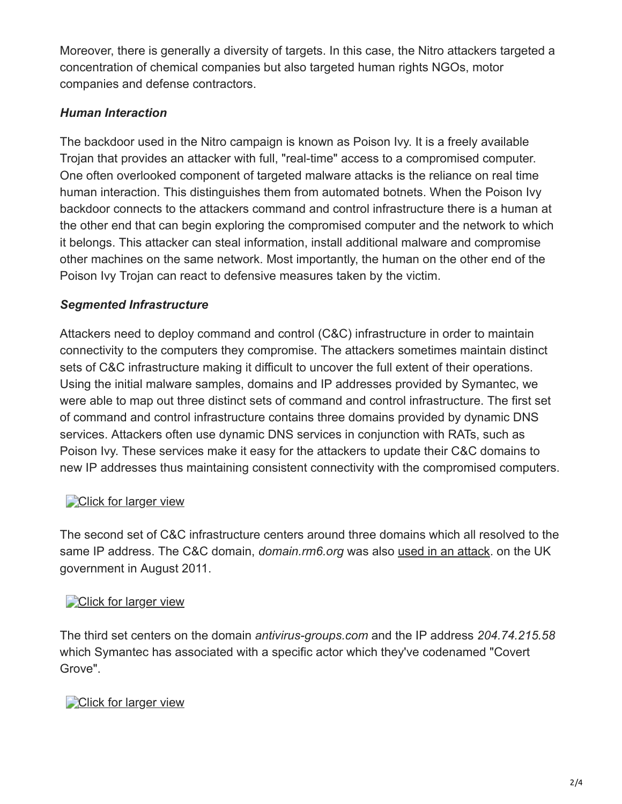Moreover, there is generally a diversity of targets. In this case, the Nitro attackers targeted a concentration of chemical companies but also targeted human rights NGOs, motor companies and defense contractors.

## *Human Interaction*

The backdoor used in the Nitro campaign is known as Poison Ivy. It is a freely available Trojan that provides an attacker with full, "real-time" access to a compromised computer. One often overlooked component of targeted malware attacks is the reliance on real time human interaction. This distinguishes them from automated botnets. When the Poison Ivy backdoor connects to the attackers command and control infrastructure there is a human at the other end that can begin exploring the compromised computer and the network to which it belongs. This attacker can steal information, install additional malware and compromise other machines on the same network. Most importantly, the human on the other end of the Poison Ivy Trojan can react to defensive measures taken by the victim.

## *Segmented Infrastructure*

Attackers need to deploy command and control (C&C) infrastructure in order to maintain connectivity to the computers they compromise. The attackers sometimes maintain distinct sets of C&C infrastructure making it difficult to uncover the full extent of their operations. Using the initial malware samples, domains and IP addresses provided by Symantec, we were able to map out three distinct sets of command and control infrastructure. The first set of command and control infrastructure contains three domains provided by dynamic DNS services. Attackers often use dynamic DNS services in conjunction with RATs, such as Poison Ivy. These services make it easy for the attackers to update their C&C domains to new IP addresses thus maintaining consistent connectivity with the compromised computers.

## [Click for larger view](http://blog.trendmicro.com/trendlabs-security-intelligence/files/2011/10/nitro1.jpg)

The second set of C&C infrastructure centers around three domains which all resolved to the same IP address. The C&C domain, *domain.rm6.org* was also [used in an attack](https://www.scottishappraisal.scot.nhs.uk/media/29415/20110825%20-%20targeted%20email%20attack%20v1.1.pdf). on the UK government in August 2011.

## **[Click for larger view](http://blog.trendmicro.com/trendlabs-security-intelligence/files/2011/10/nitro2.jpg)**

The third set centers on the domain *antivirus-groups.com* and the IP address *204.74.215.58* which Symantec has associated with a specific actor which they've codenamed "Covert Grove".

## **[Click for larger view](http://blog.trendmicro.com/trendlabs-security-intelligence/files/2011/11/C_and_C_3a1.jpg)**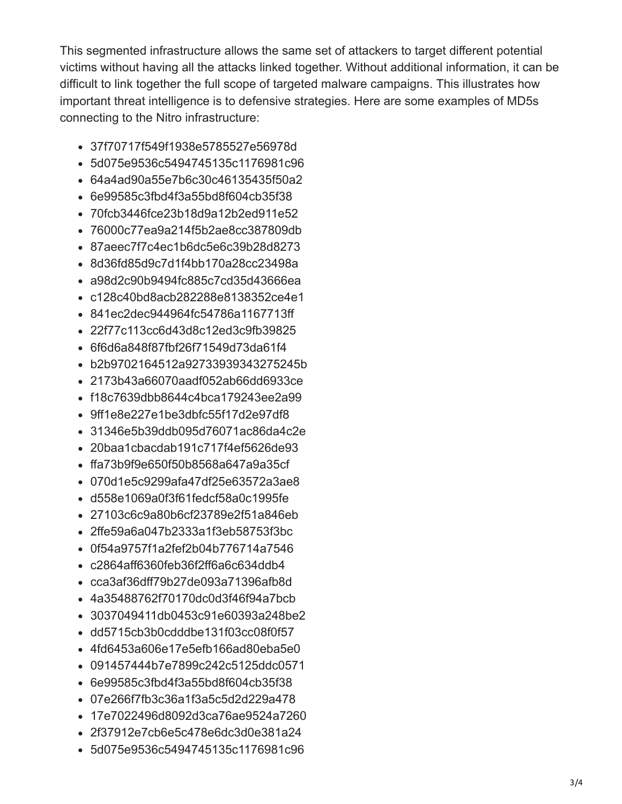This segmented infrastructure allows the same set of attackers to target different potential victims without having all the attacks linked together. Without additional information, it can be difficult to link together the full scope of targeted malware campaigns. This illustrates how important threat intelligence is to defensive strategies. Here are some examples of MD5s connecting to the Nitro infrastructure:

- 37f70717f549f1938e5785527e56978d
- 5d075e9536c5494745135c1176981c96
- 64a4ad90a55e7b6c30c46135435f50a2
- 6e99585c3fbd4f3a55bd8f604cb35f38
- 70fcb3446fce23b18d9a12b2ed911e52
- 76000c77ea9a214f5b2ae8cc387809db
- 87aeec7f7c4ec1b6dc5e6c39b28d8273
- 8d36fd85d9c7d1f4bb170a28cc23498a
- a98d2c90b9494fc885c7cd35d43666ea
- c128c40bd8acb282288e8138352ce4e1
- 841ec2dec944964fc54786a1167713ff
- 22f77c113cc6d43d8c12ed3c9fb39825
- 6f6d6a848f87fbf26f71549d73da61f4
- b2b9702164512a92733939343275245b
- 2173b43a66070aadf052ab66dd6933ce
- f18c7639dbb8644c4bca179243ee2a99
- 9ff1e8e227e1be3dbfc55f17d2e97df8
- 31346e5b39ddb095d76071ac86da4c2e
- 20baa1cbacdab191c717f4ef5626de93
- ffa73b9f9e650f50b8568a647a9a35cf
- 070d1e5c9299afa47df25e63572a3ae8
- d558e1069a0f3f61fedcf58a0c1995fe
- 27103c6c9a80b6cf23789e2f51a846eb
- 2ffe59a6a047b2333a1f3eb58753f3bc
- 0f54a9757f1a2fef2b04b776714a7546
- c2864aff6360feb36f2ff6a6c634ddb4
- cca3af36dff79b27de093a71396afb8d
- 4a35488762f70170dc0d3f46f94a7bcb
- 3037049411db0453c91e60393a248be2
- dd5715cb3b0cdddbe131f03cc08f0f57
- 4fd6453a606e17e5efb166ad80eba5e0
- 091457444b7e7899c242c5125ddc0571
- 6e99585c3fbd4f3a55bd8f604cb35f38
- 07e266f7fb3c36a1f3a5c5d2d229a478
- 17e7022496d8092d3ca76ae9524a7260
- 2f37912e7cb6e5c478e6dc3d0e381a24
- 5d075e9536c5494745135c1176981c96